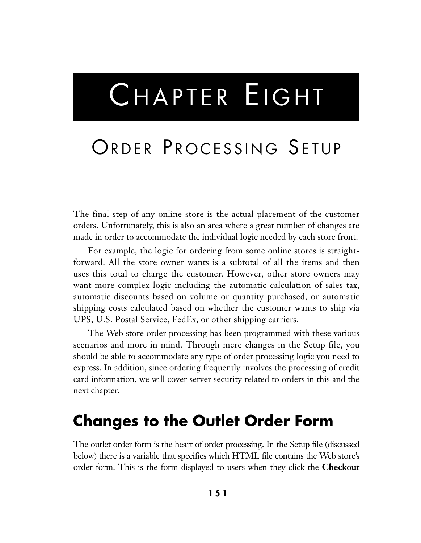# CHAPTER EIGHT

## ORDER PROCESSING SETUP

The final step of any online store is the actual placement of the customer orders. Unfortunately, this is also an area where a great number of changes are made in order to accommodate the individual logic needed by each store front.

For example, the logic for ordering from some online stores is straightforward. All the store owner wants is a subtotal of all the items and then uses this total to charge the customer. However, other store owners may want more complex logic including the automatic calculation of sales tax, automatic discounts based on volume or quantity purchased, or automatic shipping costs calculated based on whether the customer wants to ship via UPS, U.S. Postal Service, FedEx, or other shipping carriers.

The Web store order processing has been programmed with these various scenarios and more in mind. Through mere changes in the Setup file, you should be able to accommodate any type of order processing logic you need to express. In addition, since ordering frequently involves the processing of credit card information, we will cover server security related to orders in this and the next chapter.

### **Changes to the Outlet Order Form**

The outlet order form is the heart of order processing. In the Setup file (discussed below) there is a variable that specifies which HTML file contains the Web store's order form. This is the form displayed to users when they click the **Checkout**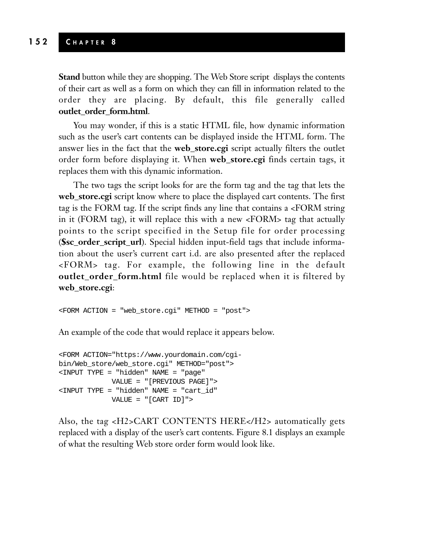**Stand** button while they are shopping. The Web Store script displays the contents of their cart as well as a form on which they can fill in information related to the order they are placing. By default, this file generally called **outlet\_order\_form.html**.

You may wonder, if this is a static HTML file, how dynamic information such as the user's cart contents can be displayed inside the HTML form. The answer lies in the fact that the **web\_store.cgi** script actually filters the outlet order form before displaying it. When **web\_store.cgi** finds certain tags, it replaces them with this dynamic information.

The two tags the script looks for are the form tag and the tag that lets the **web\_store.cgi** script know where to place the displayed cart contents. The first tag is the FORM tag. If the script finds any line that contains a <FORM string in it (FORM tag), it will replace this with a new <FORM> tag that actually points to the script specified in the Setup file for order processing (**\$sc\_order\_script\_url**). Special hidden input-field tags that include information about the user's current cart i.d. are also presented after the replaced <FORM> tag. For example, the following line in the default **outlet\_order\_form.html** file would be replaced when it is filtered by **web\_store.cgi**:

<FORM ACTION = "web\_store.cgi" METHOD = "post">

An example of the code that would replace it appears below.

```
<FORM ACTION="https://www.yourdomain.com/cgi-
bin/Web_store/web_store.cgi" METHOD="post">
<INPUT TYPE = "hidden" NAME = "page"
            VALUE = "[PREVIOUS PAGE]">
<INPUT TYPE = "hidden" NAME = "cart_id"
            VALUE = "[CART ID]">
```
Also, the tag <H2>CART CONTENTS HERE</H2> automatically gets replaced with a display of the user's cart contents. Figure 8.1 displays an example of what the resulting Web store order form would look like.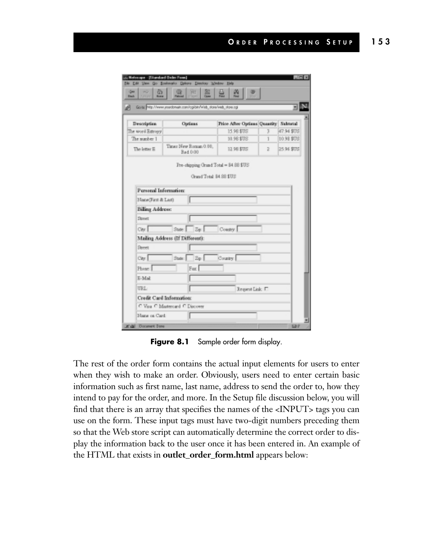|                       | Gotte: http://www.youtdonain.com/cglibin/wish_store/web_store.cgl |                                       |   |             |
|-----------------------|-------------------------------------------------------------------|---------------------------------------|---|-------------|
| <b>Description</b>    | Optimes                                                           | Price After Options Quantity Subtatal |   |             |
| The word Entropy      |                                                                   | 15.98 \$TUS                           | 3 | 47.94 \$175 |
| The sumber 1          |                                                                   | 10.98 \$T/S                           | 1 | 10.98 \$US  |
| The letter E          | Times New Roman 0.00,<br>Bad 0.00                                 | 12.98.\$135                           | ž | 25.96 \$US  |
|                       | Fre-rhipping Orand Total = 84.88 \$US<br>Grand Total: 84.88 \$US  |                                       |   |             |
| Personal Information: |                                                                   |                                       |   |             |
| Nane(First & Last)    |                                                                   |                                       |   |             |
| Billing Address:      |                                                                   |                                       |   |             |
| <b>Street</b>         |                                                                   |                                       |   |             |
| Cirv.                 | $Z_{\rm F}$<br>State:                                             | Constry.                              |   |             |
|                       | Mailing Address (If Different):                                   |                                       |   |             |
| Street                |                                                                   |                                       |   |             |
| City:                 | State: Zip:                                                       | County.                               |   |             |
|                       | Fax                                                               |                                       |   |             |
| Phone:                |                                                                   |                                       |   |             |
| $E-Mal$               |                                                                   |                                       |   |             |
| <b>URL</b>            |                                                                   | Request Link: IT                      |   |             |

Figure 8.1 Sample order form display.

The rest of the order form contains the actual input elements for users to enter when they wish to make an order. Obviously, users need to enter certain basic information such as first name, last name, address to send the order to, how they intend to pay for the order, and more. In the Setup file discussion below, you will find that there is an array that specifies the names of the <INPUT> tags you can use on the form. These input tags must have two-digit numbers preceding them so that the Web store script can automatically determine the correct order to display the information back to the user once it has been entered in. An example of the HTML that exists in **outlet\_order\_form.html** appears below: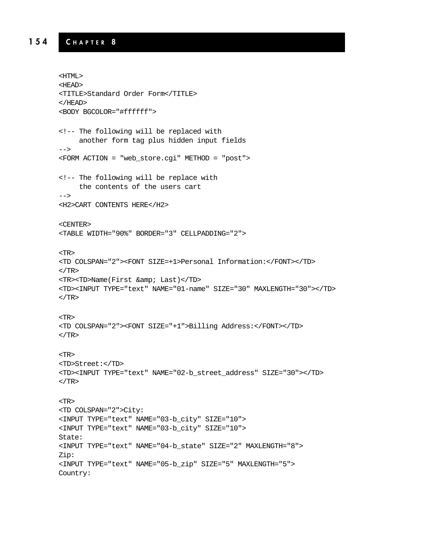#### **154 C HAPTER 8**

```
<HTML>
<HEAD>
<TITLE>Standard Order Form</TITLE>
</HEAD>
<BODY BGCOLOR="#ffffff">
<!-- The following will be replaced with
     another form tag plus hidden input fields
-->
<FORM ACTION = "web_store.cgi" METHOD = "post">
<!-- The following will be replace with
     the contents of the users cart
-->
<H2>CART CONTENTS HERE</H2>
<CENTER>
<TABLE WIDTH="90%" BORDER="3" CELLPADDING="2">
<TR>
<TD COLSPAN="2"><FONT SIZE=+1>Personal Information:</FONT></TD>
</TR><TR><TD>Name(First & amp; Last)</TD>
<TD><INPUT TYPE="text" NAME="01-name" SIZE="30" MAXLENGTH="30"></TD>
\langle TR><TR>
<TD COLSPAN="2"><FONT SIZE="+1">Billing Address:</FONT></TD>
</TR><TR>
<TD>Street:</TD>
<TD><INPUT TYPE="text" NAME="02-b_street_address" SIZE="30"></TD>
</TR><TR>
<TD COLSPAN="2">City:
<INPUT TYPE="text" NAME="03-b_city" SIZE="10">
<INPUT TYPE="text" NAME="03-b_city" SIZE="10">
State:
<INPUT TYPE="text" NAME="04-b_state" SIZE="2" MAXLENGTH="8">
Zip:
<INPUT TYPE="text" NAME="05-b_zip" SIZE="5" MAXLENGTH="5">
Country:
```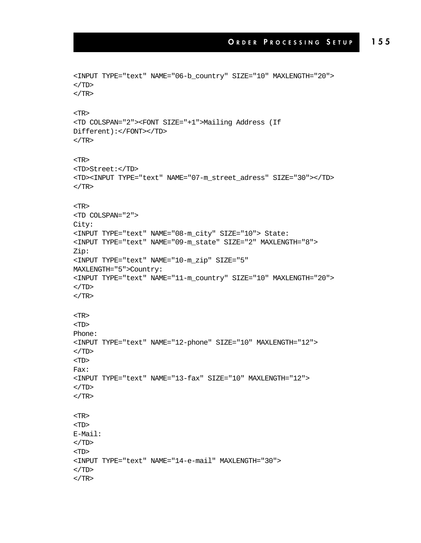```
<INPUT TYPE="text" NAME="06-b_country" SIZE="10" MAXLENGTH="20">
</TD></TR><TR>
<TD COLSPAN="2"><FONT SIZE="+1">Mailing Address (If
Different):</FONT></TD>
</TR><TR>
<TD>Street:</TD>
<TD><INPUT TYPE="text" NAME="07-m_street_adress" SIZE="30"></TD>
</TR><TR>
<TD COLSPAN="2">
City:
<INPUT TYPE="text" NAME="08-m_city" SIZE="10"> State:
<INPUT TYPE="text" NAME="09-m_state" SIZE="2" MAXLENGTH="8">
Zip:
<INPUT TYPE="text" NAME="10-m_zip" SIZE="5"
MAXLENGTH="5">Country:
<INPUT TYPE="text" NAME="11-m_country" SIZE="10" MAXLENGTH="20">
\langle /TD>
\langle/TR><TR>
<TD>
Phone:
<INPUT TYPE="text" NAME="12-phone" SIZE="10" MAXLENGTH="12">
</TD><TD>
Fax:
<INPUT TYPE="text" NAME="13-fax" SIZE="10" MAXLENGTH="12">
</TD></TR><TR>
<TD>
E-Mail:
\langleTD><TD>
<INPUT TYPE="text" NAME="14-e-mail" MAXLENGTH="30">
\rm </TD</TR>
```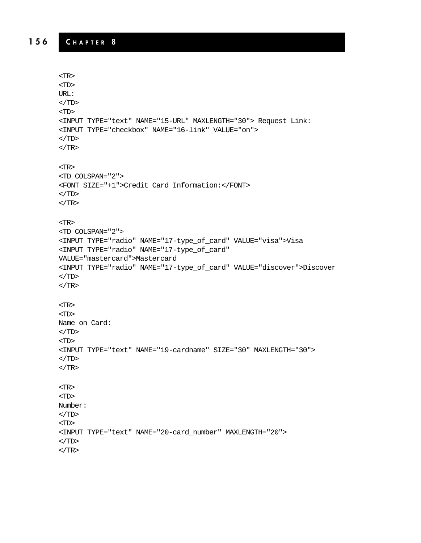```
<TR>
<TD>
URL:
</TD>
<TD>
<INPUT TYPE="text" NAME="15-URL" MAXLENGTH="30"> Request Link:
<INPUT TYPE="checkbox" NAME="16-link" VALUE="on">
\langle TD>
</TR><TR>
<TD COLSPAN="2">
<FONT SIZE="+1">Credit Card Information:</FONT>
</TD></TR><TR>
<TD COLSPAN="2">
<INPUT TYPE="radio" NAME="17-type_of_card" VALUE="visa">Visa
<INPUT TYPE="radio" NAME="17-type_of_card"
VALUE="mastercard">Mastercard
<INPUT TYPE="radio" NAME="17-type_of_card" VALUE="discover">Discover
\langleTD>
\rm < /TR> \rm<TR>
<TD>
Name on Card:
\rm < /TD> \rm<TD>
<INPUT TYPE="text" NAME="19-cardname" SIZE="30" MAXLENGTH="30">
\rm < /TD> \rm</TR><TR>
<TD>
Number:
</TD><TD><INPUT TYPE="text" NAME="20-card_number" MAXLENGTH="20">
</TD></TR>
```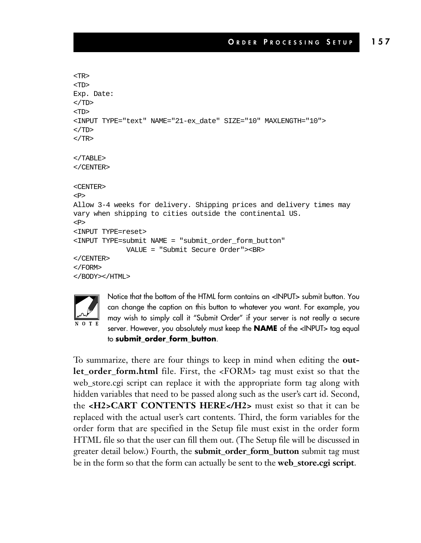```
<TR>
<TD>
Exp. Date:
</TD><TD>
<INPUT TYPE="text" NAME="21-ex_date" SIZE="10" MAXLENGTH="10">
</TD></TR></TABLE>
</CENTER>
<CENTER>
<P>
Allow 3-4 weeks for delivery. Shipping prices and delivery times may
vary when shipping to cities outside the continental US.
P<INPUT TYPE=reset>
<INPUT TYPE=submit NAME = "submit_order_form_button"
            VALUE = "Submit Secure Order"><BR>
</CENTER>
</FORM>
</BODY></HTML>
```


Notice that the bottom of the HTML form contains an <INPUT> submit button. You can change the caption on this button to whatever you want. For example, you may wish to simply call it "Submit Order" if your server is not really a secure server. However, you absolutely must keep the **NAME** of the <INPUT> tag equal to **submit\_order\_form\_button**.

To summarize, there are four things to keep in mind when editing the **outlet\_order\_form.html** file. First, the <FORM> tag must exist so that the web\_store.cgi script can replace it with the appropriate form tag along with hidden variables that need to be passed along such as the user's cart id. Second, the **<H2>CART CONTENTS HERE</H2>** must exist so that it can be replaced with the actual user's cart contents. Third, the form variables for the order form that are specified in the Setup file must exist in the order form HTML file so that the user can fill them out. (The Setup file will be discussed in greater detail below.) Fourth, the **submit\_order\_form\_button** submit tag must be in the form so that the form can actually be sent to the **web\_store.cgi script**.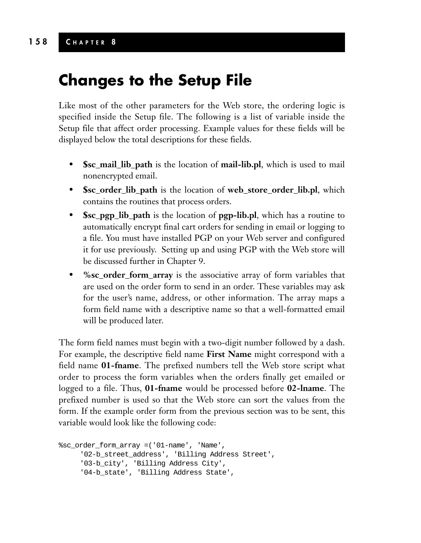**Changes to the Setup File**

Like most of the other parameters for the Web store, the ordering logic is specified inside the Setup file. The following is a list of variable inside the Setup file that affect order processing. Example values for these fields will be displayed below the total descriptions for these fields.

- **\$sc\_mail\_lib\_path** is the location of **mail-lib.pl**, which is used to mail nonencrypted email.
- **\$sc\_order\_lib\_path** is the location of **web\_store\_order\_lib.pl**, which contains the routines that process orders.
- **\$sc\_pgp\_lib\_path** is the location of **pgp-lib.pl**, which has a routine to automatically encrypt final cart orders for sending in email or logging to a file. You must have installed PGP on your Web server and configured it for use previously. Setting up and using PGP with the Web store will be discussed further in Chapter 9.
- **%sc\_order\_form\_array** is the associative array of form variables that are used on the order form to send in an order. These variables may ask for the user's name, address, or other information. The array maps a form field name with a descriptive name so that a well-formatted email will be produced later.

The form field names must begin with a two-digit number followed by a dash. For example, the descriptive field name **First Name** might correspond with a field name **01-fname**. The prefixed numbers tell the Web store script what order to process the form variables when the orders finally get emailed or logged to a file. Thus, **01-fname** would be processed before **02-lname**. The prefixed number is used so that the Web store can sort the values from the form. If the example order form from the previous section was to be sent, this variable would look like the following code:

```
%sc_order_form_array =('01-name', 'Name',
     '02-b_street_address', 'Billing Address Street',
     '03-b_city', 'Billing Address City',
     '04-b_state', 'Billing Address State',
```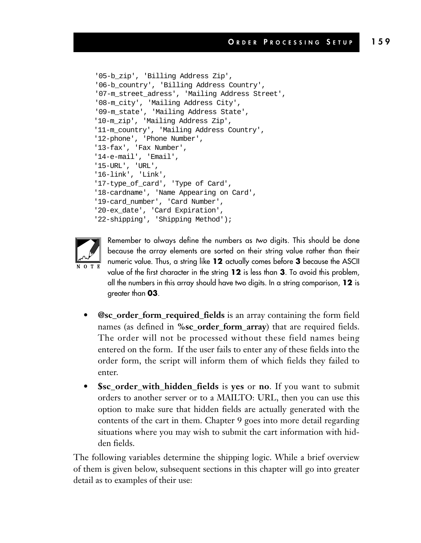```
'05-b_zip', 'Billing Address Zip',
'06-b_country', 'Billing Address Country',
'07-m_street_adress', 'Mailing Address Street',
'08-m_city', 'Mailing Address City',
'09-m_state', 'Mailing Address State',
'10-m_zip', 'Mailing Address Zip',
'11-m_country', 'Mailing Address Country',
'12-phone', 'Phone Number',
'13-fax', 'Fax Number',
'14-e-mail', 'Email',
'15-URL', 'URL',
'16-link', 'Link',
'17-type_of_card', 'Type of Card',
'18-cardname', 'Name Appearing on Card',
'19-card_number', 'Card Number',
'20-ex_date', 'Card Expiration',
'22-shipping', 'Shipping Method');
```


Remember to always define the numbers as *two* digits. This should be done because the array elements are sorted on their string value rather than their numeric value. Thus, a string like **12** actually comes before **3** because the ASCII value of the first character in the string **12** is less than **3**. To avoid this problem, all the numbers in this array should have two digits. In a string comparison, **12** is greater than **03**.

- **@sc\_order\_form\_required\_fields** is an array containing the form field names (as defined in **%sc** order form array) that are required fields. The order will not be processed without these field names being entered on the form. If the user fails to enter any of these fields into the order form, the script will inform them of which fields they failed to enter.
- **\$sc\_order\_with\_hidden\_fields** is **yes** or **no**. If you want to submit orders to another server or to a MAILTO: URL, then you can use this option to make sure that hidden fields are actually generated with the contents of the cart in them. Chapter 9 goes into more detail regarding situations where you may wish to submit the cart information with hidden fields.

The following variables determine the shipping logic. While a brief overview of them is given below, subsequent sections in this chapter will go into greater detail as to examples of their use: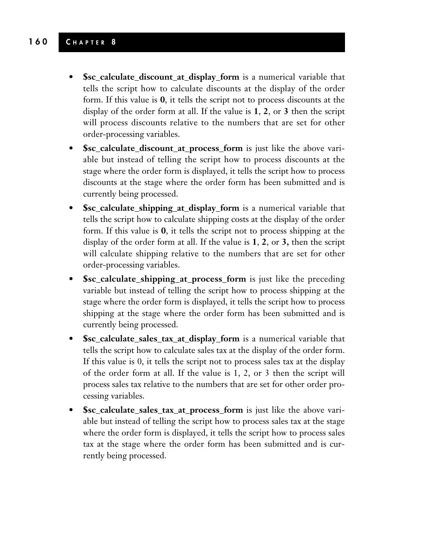#### **160 C HAPTER 8**

- **\$sc\_calculate\_discount\_at\_display\_form** is a numerical variable that tells the script how to calculate discounts at the display of the order form. If this value is **0**, it tells the script not to process discounts at the display of the order form at all. If the value is **1**, **2**, or **3** then the script will process discounts relative to the numbers that are set for other order-processing variables.
- **\$sc\_calculate\_discount\_at\_process\_form** is just like the above variable but instead of telling the script how to process discounts at the stage where the order form is displayed, it tells the script how to process discounts at the stage where the order form has been submitted and is currently being processed.
- **\$sc\_calculate\_shipping\_at\_display\_form** is a numerical variable that tells the script how to calculate shipping costs at the display of the order form. If this value is **0**, it tells the script not to process shipping at the display of the order form at all. If the value is **1**, **2**, or **3,** then the script will calculate shipping relative to the numbers that are set for other order-processing variables.
- **\$sc\_calculate\_shipping\_at\_process\_form** is just like the preceding variable but instead of telling the script how to process shipping at the stage where the order form is displayed, it tells the script how to process shipping at the stage where the order form has been submitted and is currently being processed.
- **\$sc\_calculate\_sales\_tax\_at\_display\_form** is a numerical variable that tells the script how to calculate sales tax at the display of the order form. If this value is 0, it tells the script not to process sales tax at the display of the order form at all. If the value is 1, 2, or 3 then the script will process sales tax relative to the numbers that are set for other order processing variables.
- **\$sc\_calculate\_sales\_tax\_at\_process\_form** is just like the above variable but instead of telling the script how to process sales tax at the stage where the order form is displayed, it tells the script how to process sales tax at the stage where the order form has been submitted and is currently being processed.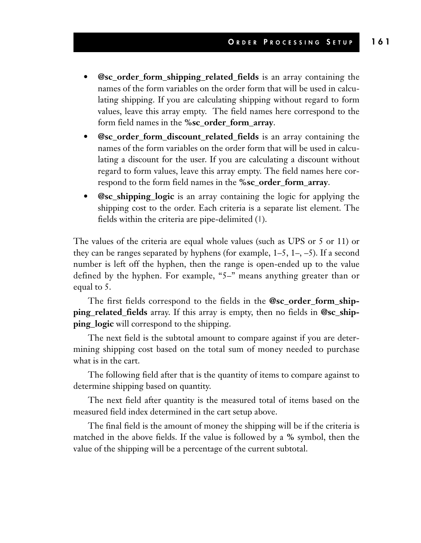- **@sc\_order\_form\_shipping\_related\_fields** is an array containing the names of the form variables on the order form that will be used in calculating shipping. If you are calculating shipping without regard to form values, leave this array empty. The field names here correspond to the form field names in the **%sc\_order\_form\_array**.
- **@sc\_order\_form\_discount\_related\_fields** is an array containing the names of the form variables on the order form that will be used in calculating a discount for the user. If you are calculating a discount without regard to form values, leave this array empty. The field names here correspond to the form field names in the **%sc\_order\_form\_array**.
- **@sc\_shipping\_logic** is an array containing the logic for applying the shipping cost to the order. Each criteria is a separate list element. The fields within the criteria are pipe-delimited (1).

The values of the criteria are equal whole values (such as UPS or 5 or 11) or they can be ranges separated by hyphens (for example,  $1-5$ ,  $1-$ ,  $-5$ ). If a second number is left off the hyphen, then the range is open-ended up to the value defined by the hyphen. For example, "5–" means anything greater than or equal to 5.

The first fields correspond to the fields in the **@sc\_order\_form\_shipping\_related\_fields** array. If this array is empty, then no fields in **@sc\_shipping\_logic** will correspond to the shipping.

The next field is the subtotal amount to compare against if you are determining shipping cost based on the total sum of money needed to purchase what is in the cart.

The following field after that is the quantity of items to compare against to determine shipping based on quantity.

The next field after quantity is the measured total of items based on the measured field index determined in the cart setup above.

The final field is the amount of money the shipping will be if the criteria is matched in the above fields. If the value is followed by a **%** symbol, then the value of the shipping will be a percentage of the current subtotal.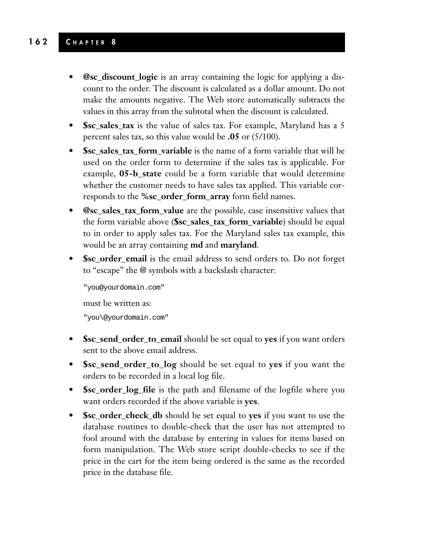#### **162 C HAPTER 8**

- **@sc\_discount\_logic** is an array containing the logic for applying a discount to the order. The discount is calculated as a dollar amount. Do not make the amounts negative. The Web store automatically subtracts the values in this array from the subtotal when the discount is calculated.
- **\$sc\_sales\_tax** is the value of sales tax. For example, Maryland has a 5 percent sales tax, so this value would be **.05** or (5/100).
- **\$sc\_sales\_tax\_form\_variable** is the name of a form variable that will be used on the order form to determine if the sales tax is applicable. For example, **05-b\_state** could be a form variable that would determine whether the customer needs to have sales tax applied. This variable corresponds to the **%sc\_order\_form\_array** form field names.
- **@sc\_sales\_tax\_form\_value** are the possible, case insensitive values that the form variable above (**\$sc\_sales\_tax\_form\_variable**) should be equal to in order to apply sales tax. For the Maryland sales tax example, this would be an array containing **md** and **maryland**.
- **\$sc\_order\_email** is the email address to send orders to. Do not forget to "escape" the @ symbols with a backslash character:

"you@yourdomain.com" must be written as: "you\@yourdomain.com"

- **\$sc\_send\_order\_to\_email** should be set equal to **yes** if you want orders sent to the above email address.
- **\$sc\_send\_order\_to\_log** should be set equal to **yes** if you want the orders to be recorded in a local log file.
- **\$sc\_order\_log\_file** is the path and filename of the logfile where you want orders recorded if the above variable is **yes**.
- **\$sc\_order\_check\_db** should be set equal to **yes** if you want to use the database routines to double-check that the user has not attempted to fool around with the database by entering in values for items based on form manipulation. The Web store script double-checks to see if the price in the cart for the item being ordered is the same as the recorded price in the database file.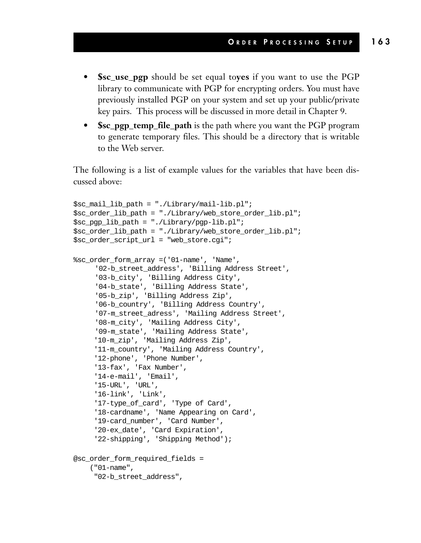- **\$sc\_use\_pgp** should be set equal to**yes** if you want to use the PGP library to communicate with PGP for encrypting orders. You must have previously installed PGP on your system and set up your public/private key pairs. This process will be discussed in more detail in Chapter 9.
- **\$sc\_pgp\_temp\_file\_path** is the path where you want the PGP program to generate temporary files. This should be a directory that is writable to the Web server.

The following is a list of example values for the variables that have been discussed above:

```
$sc_mail_lib_path = "./Library/mail-lib.pl";
$sc_order_lib_path = "./Library/web_store_order_lib.pl";
$sc_pgp_lib_path = "./Library/pgp-lib.pl";
$sc_order_lib_path = "./Library/web_store_order_lib.pl";
$sc_order_script_url = "web_store.cgi";
%sc_order_form_array =('01-name', 'Name',
     '02-b_street_address', 'Billing Address Street',
     '03-b_city', 'Billing Address City',
     '04-b_state', 'Billing Address State',
     '05-b_zip', 'Billing Address Zip',
     '06-b_country', 'Billing Address Country',
     '07-m_street_adress', 'Mailing Address Street',
     '08-m_city', 'Mailing Address City',
     '09-m_state', 'Mailing Address State',
     '10-m_zip', 'Mailing Address Zip',
     '11-m_country', 'Mailing Address Country',
     '12-phone', 'Phone Number',
     '13-fax', 'Fax Number',
     '14-e-mail', 'Email',
     '15-URL', 'URL',
     '16-link', 'Link',
     '17-type_of_card', 'Type of Card',
     '18-cardname', 'Name Appearing on Card',
     '19-card_number', 'Card Number',
     '20-ex_date', 'Card Expiration',
     '22-shipping', 'Shipping Method');
@sc_order_form_required_fields =
    ("01-name",
     "02-b_street_address",
```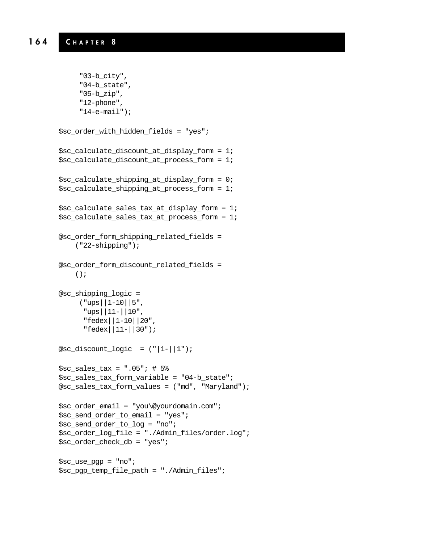```
"03-b_city",
"04-b_state",
"05-b_zip",
"12-phone",
"14-e-mail");
```

```
$sc_order_with_hidden_fields = "yes";
$sc_calculate_discount_at_display_form = 1;
$sc_calculate_discount_at_process_form = 1;
$sc_calculate_shipping_at_display_form = 0;
$sc_calculate_shipping_at_process_form = 1;
$sc_calculate_sales_tax_at_display_form = 1;
$sc_calculate_sales_tax_at_process_form = 1;
@sc_order_form_shipping_related_fields =
    ("22-shipping");
@sc_order_form_discount_related_fields =
    ();
```

```
@sc_shipping_logic =
     ("ups||1-10||5",
      "ups||11-||10",
      "fedex||1-10||20",
      "fedex||11-||30");
```

```
@sc\_discount\_logic = ("|1-||1");
```

```
$sc sales tax = ".05"; # 5%
$sc_sales_tax_form_variable = "04-b_state";
@sc_sales_tax_form_values = ("md", "Maryland");
```

```
$sc_order_email = "you\@yourdomain.com";
$sc_send_order_to_email = "yes";
$sc_send_order_to_log = "no";
$sc_order_log_file = "./Admin_files/order.log";
$sc_order_check_db = "yes";
```

```
$sc_use_pgp = "no";
$sc_pgp_temp_file_path = "./Admin_files";
```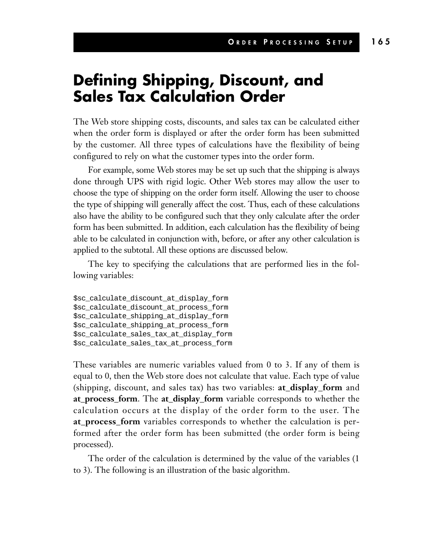### **Defining Shipping, Discount, and Sales Tax Calculation Order**

The Web store shipping costs, discounts, and sales tax can be calculated either when the order form is displayed or after the order form has been submitted by the customer. All three types of calculations have the flexibility of being configured to rely on what the customer types into the order form.

For example, some Web stores may be set up such that the shipping is always done through UPS with rigid logic. Other Web stores may allow the user to choose the type of shipping on the order form itself. Allowing the user to choose the type of shipping will generally affect the cost. Thus, each of these calculations also have the ability to be configured such that they only calculate after the order form has been submitted. In addition, each calculation has the flexibility of being able to be calculated in conjunction with, before, or after any other calculation is applied to the subtotal. All these options are discussed below.

The key to specifying the calculations that are performed lies in the following variables:

\$sc\_calculate\_discount\_at\_display\_form \$sc\_calculate\_discount\_at\_process\_form \$sc\_calculate\_shipping\_at\_display\_form \$sc\_calculate\_shipping\_at\_process\_form \$sc\_calculate\_sales\_tax\_at\_display\_form \$sc\_calculate\_sales\_tax\_at\_process\_form

These variables are numeric variables valued from 0 to 3. If any of them is equal to 0, then the Web store does not calculate that value. Each type of value (shipping, discount, and sales tax) has two variables: **at\_display\_form** and **at\_process\_form**. The **at\_display\_form** variable corresponds to whether the calculation occurs at the display of the order form to the user. The **at\_process\_form** variables corresponds to whether the calculation is performed after the order form has been submitted (the order form is being processed).

The order of the calculation is determined by the value of the variables (1 to 3). The following is an illustration of the basic algorithm.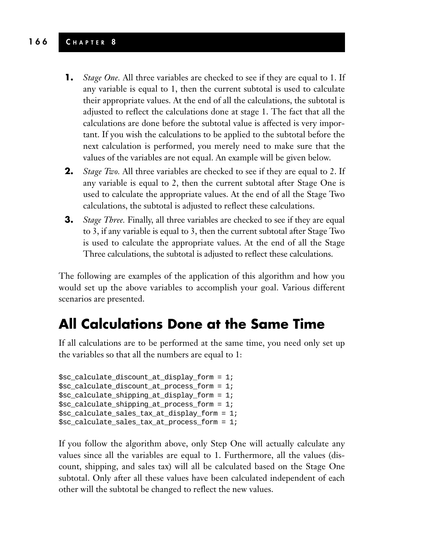#### **166 C HAPTER 8**

- **1.** *Stage One.* All three variables are checked to see if they are equal to 1. If any variable is equal to 1, then the current subtotal is used to calculate their appropriate values. At the end of all the calculations, the subtotal is adjusted to reflect the calculations done at stage 1. The fact that all the calculations are done before the subtotal value is affected is very important. If you wish the calculations to be applied to the subtotal before the next calculation is performed, you merely need to make sure that the values of the variables are not equal. An example will be given below.
- **2.** *Stage Two.* All three variables are checked to see if they are equal to 2. If any variable is equal to 2, then the current subtotal after Stage One is used to calculate the appropriate values. At the end of all the Stage Two calculations, the subtotal is adjusted to reflect these calculations.
- **3.** *Stage Three.* Finally, all three variables are checked to see if they are equal to 3, if any variable is equal to 3, then the current subtotal after Stage Two is used to calculate the appropriate values. At the end of all the Stage Three calculations, the subtotal is adjusted to reflect these calculations.

The following are examples of the application of this algorithm and how you would set up the above variables to accomplish your goal. Various different scenarios are presented.

#### **All Calculations Done at the Same Time**

If all calculations are to be performed at the same time, you need only set up the variables so that all the numbers are equal to 1:

```
$sc_calculate_discount_at_display_form = 1;
$sc_calculate_discount_at_process_form = 1;
$sc_calculate_shipping_at_display_form = 1;
$sc_calculate_shipping_at_process_form = 1;
$sc_calculate_sales_tax_at_display_form = 1;
$sc_calculate_sales_tax_at_process_form = 1;
```
If you follow the algorithm above, only Step One will actually calculate any values since all the variables are equal to 1. Furthermore, all the values (discount, shipping, and sales tax) will all be calculated based on the Stage One subtotal. Only after all these values have been calculated independent of each other will the subtotal be changed to reflect the new values.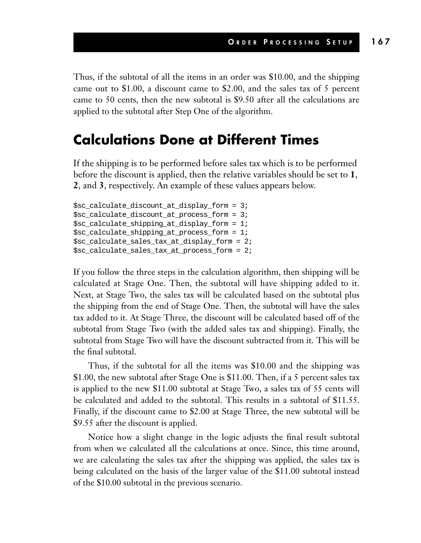Thus, if the subtotal of all the items in an order was \$10.00, and the shipping came out to \$1.00, a discount came to \$2.00, and the sales tax of 5 percent came to 50 cents, then the new subtotal is \$9.50 after all the calculations are applied to the subtotal after Step One of the algorithm.

#### **Calculations Done at Different Times**

If the shipping is to be performed before sales tax which is to be performed before the discount is applied, then the relative variables should be set to **1**, **2**, and **3**, respectively. An example of these values appears below.

```
$sc_calculate_discount_at_display_form = 3;
$sc_calculate_discount_at_process_form = 3;
$sc_calculate_shipping_at_display_form = 1;
$sc_calculate_shipping_at_process_form = 1;
$sc_calculate_sales_tax_at_display_form = 2;
$sc_calculate_sales_tax_at_process_form = 2;
```
If you follow the three steps in the calculation algorithm, then shipping will be calculated at Stage One. Then, the subtotal will have shipping added to it. Next, at Stage Two, the sales tax will be calculated based on the subtotal plus the shipping from the end of Stage One. Then, the subtotal will have the sales tax added to it. At Stage Three, the discount will be calculated based off of the subtotal from Stage Two (with the added sales tax and shipping). Finally, the subtotal from Stage Two will have the discount subtracted from it. This will be the final subtotal.

Thus, if the subtotal for all the items was \$10.00 and the shipping was \$1.00, the new subtotal after Stage One is \$11.00. Then, if a 5 percent sales tax is applied to the new \$11.00 subtotal at Stage Two, a sales tax of 55 cents will be calculated and added to the subtotal. This results in a subtotal of \$11.55. Finally, if the discount came to \$2.00 at Stage Three, the new subtotal will be \$9.55 after the discount is applied.

Notice how a slight change in the logic adjusts the final result subtotal from when we calculated all the calculations at once. Since, this time around, we are calculating the sales tax after the shipping was applied, the sales tax is being calculated on the basis of the larger value of the \$11.00 subtotal instead of the \$10.00 subtotal in the previous scenario.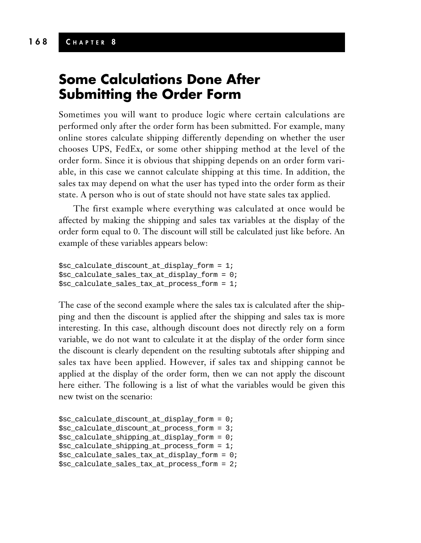#### **Some Calculations Done After Submitting the Order Form**

Sometimes you will want to produce logic where certain calculations are performed only after the order form has been submitted. For example, many online stores calculate shipping differently depending on whether the user chooses UPS, FedEx, or some other shipping method at the level of the order form. Since it is obvious that shipping depends on an order form variable, in this case we cannot calculate shipping at this time. In addition, the sales tax may depend on what the user has typed into the order form as their state. A person who is out of state should not have state sales tax applied.

The first example where everything was calculated at once would be affected by making the shipping and sales tax variables at the display of the order form equal to 0. The discount will still be calculated just like before. An example of these variables appears below:

```
$sc_calculate_discount_at_display_form = 1;
$sc_calculate_sales_tax_at_display_form = 0;
$sc_calculate_sales_tax_at_process_form = 1;
```
The case of the second example where the sales tax is calculated after the shipping and then the discount is applied after the shipping and sales tax is more interesting. In this case, although discount does not directly rely on a form variable, we do not want to calculate it at the display of the order form since the discount is clearly dependent on the resulting subtotals after shipping and sales tax have been applied. However, if sales tax and shipping cannot be applied at the display of the order form, then we can not apply the discount here either. The following is a list of what the variables would be given this new twist on the scenario:

```
$sc_calculate_discount_at_display_form = 0;
$sc_calculate_discount_at_process_form = 3;
$sc_calculate_shipping_at_display_form = 0;
$sc_calculate_shipping_at_process_form = 1;
$sc_calculate_sales_tax_at_display_form = 0;
$sc_calculate_sales_tax_at_process_form = 2;
```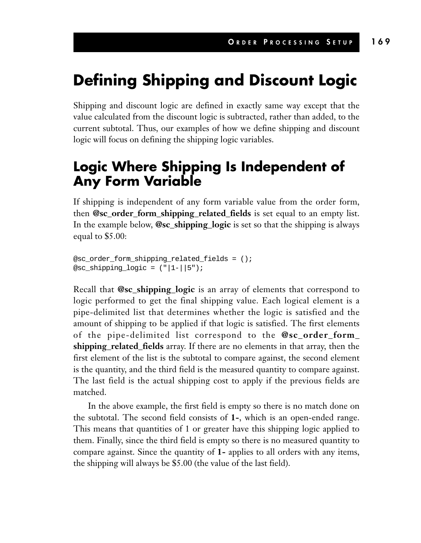### **Defining Shipping and Discount Logic**

Shipping and discount logic are defined in exactly same way except that the value calculated from the discount logic is subtracted, rather than added, to the current subtotal. Thus, our examples of how we define shipping and discount logic will focus on defining the shipping logic variables.

### **Logic Where Shipping Is Independent of Any Form Variable**

If shipping is independent of any form variable value from the order form, then **@sc\_order\_form\_shipping\_related\_fields** is set equal to an empty list. In the example below, **@sc\_shipping\_logic** is set so that the shipping is always equal to \$5.00:

```
@sc_order_form_shipping_related_fields = ();
@sc_shipping_logic = (|"|1-||5");
```
Recall that **@sc\_shipping\_logic** is an array of elements that correspond to logic performed to get the final shipping value. Each logical element is a pipe-delimited list that determines whether the logic is satisfied and the amount of shipping to be applied if that logic is satisfied. The first elements of the pipe-delimited list correspond to the **@sc\_order\_form\_ shipping\_related\_fields** array. If there are no elements in that array, then the first element of the list is the subtotal to compare against, the second element is the quantity, and the third field is the measured quantity to compare against. The last field is the actual shipping cost to apply if the previous fields are matched.

In the above example, the first field is empty so there is no match done on the subtotal. The second field consists of **1-**, which is an open-ended range. This means that quantities of 1 or greater have this shipping logic applied to them. Finally, since the third field is empty so there is no measured quantity to compare against. Since the quantity of **1-** applies to all orders with any items, the shipping will always be \$5.00 (the value of the last field).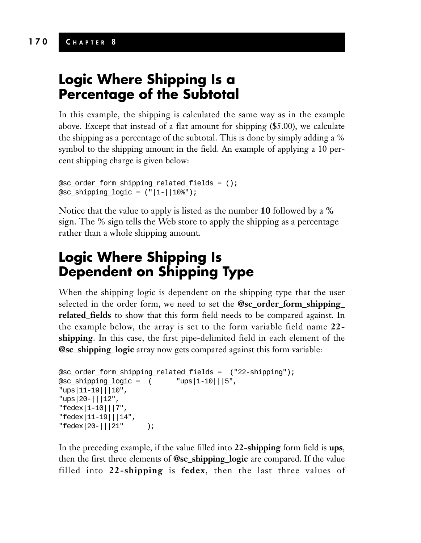#### **Logic Where Shipping Is a Percentage of the Subtotal**

In this example, the shipping is calculated the same way as in the example above. Except that instead of a flat amount for shipping (\$5.00), we calculate the shipping as a percentage of the subtotal. This is done by simply adding a % symbol to the shipping amount in the field. An example of applying a 10 percent shipping charge is given below:

```
@sc_order_form_shipping_related_fields = ();
@sc_shipping_logic = ("|1-||10%");
```
Notice that the value to apply is listed as the number **10** followed by a **%** sign. The % sign tells the Web store to apply the shipping as a percentage rather than a whole shipping amount.

### **Logic Where Shipping Is Dependent on Shipping Type**

When the shipping logic is dependent on the shipping type that the user selected in the order form, we need to set the **@sc\_order\_form\_shipping\_ related\_fields** to show that this form field needs to be compared against. In the example below, the array is set to the form variable field name **22 shipping**. In this case, the first pipe-delimited field in each element of the **@sc\_shipping\_logic** array now gets compared against this form variable:

```
@sc_order_form_shipping_related_fields = ("22-shipping");
@sc\_shipping\_logic = ( "ups|1-10|||5",
"ups|11-19|||10",
"ups|20-|||12",
"fedex|1-10|||7",
"fedex|11-19|||14",
"fedex|20-|||21" );
```
In the preceding example, if the value filled into **22-shipping** form field is **ups**, then the first three elements of **@sc\_shipping\_logic** are compared. If the value filled into **22-shipping** is **fedex**, then the last three values of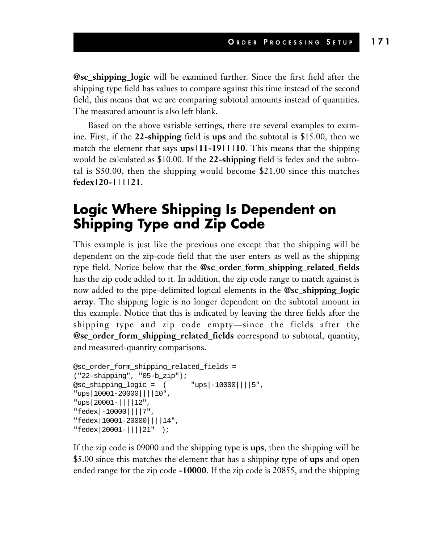**@sc\_shipping\_logic** will be examined further. Since the first field after the shipping type field has values to compare against this time instead of the second field, this means that we are comparing subtotal amounts instead of quantities. The measured amount is also left blank.

Based on the above variable settings, there are several examples to examine. First, if the **22-shipping** field is **ups** and the subtotal is \$15.00, then we match the element that says **ups|11-19|||10**. This means that the shipping would be calculated as \$10.00. If the **22-shipping** field is fedex and the subtotal is \$50.00, then the shipping would become \$21.00 since this matches **fedex|20-||||21**.

#### **Logic Where Shipping Is Dependent on Shipping Type and Zip Code**

This example is just like the previous one except that the shipping will be dependent on the zip-code field that the user enters as well as the shipping type field. Notice below that the **@sc\_order\_form\_shipping\_related\_fields** has the zip code added to it. In addition, the zip code range to match against is now added to the pipe-delimited logical elements in the **@sc\_shipping\_logic array**. The shipping logic is no longer dependent on the subtotal amount in this example. Notice that this is indicated by leaving the three fields after the shipping type and zip code empty—since the fields after the **@sc\_order\_form\_shipping\_related\_fields** correspond to subtotal, quantity, and measured-quantity comparisons.

```
@sc_order_form_shipping_related_fields =
("22-shipping", "05-b_zip");
@sc\_shipping\_logic = ( "ups|-10000||||5",
"ups|10001-20000||||10",
"ups|20001-||||12",
"fedex|-10000||||7",
"fedex|10001-20000||||14",
"fedex|20001-||||21" );
```
If the zip code is 09000 and the shipping type is **ups**, then the shipping will be \$5.00 since this matches the element that has a shipping type of **ups** and open ended range for the zip code **-10000**. If the zip code is 20855, and the shipping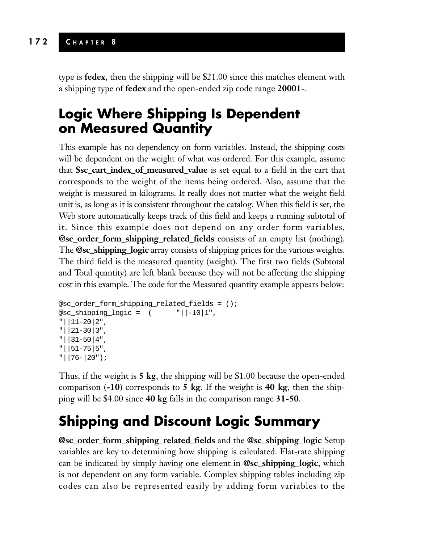type is **fedex**, then the shipping will be \$21.00 since this matches element with a shipping type of **fedex** and the open-ended zip code range **20001-**.

### **Logic Where Shipping Is Dependent on Measured Quantity**

This example has no dependency on form variables. Instead, the shipping costs will be dependent on the weight of what was ordered. For this example, assume that **\$sc\_cart\_index\_of\_measured\_value** is set equal to a field in the cart that corresponds to the weight of the items being ordered. Also, assume that the weight is measured in kilograms. It really does not matter what the weight field unit is, as long as it is consistent throughout the catalog. When this field is set, the Web store automatically keeps track of this field and keeps a running subtotal of it. Since this example does not depend on any order form variables, **@sc\_order\_form\_shipping\_related\_fields** consists of an empty list (nothing). The **@sc\_shipping\_logic** array consists of shipping prices for the various weights. The third field is the measured quantity (weight). The first two fields (Subtotal and Total quantity) are left blank because they will not be affecting the shipping cost in this example. The code for the Measured quantity example appears below:

```
@sc_order_form_shipping_related_fields = ();
@sc\_shipping\_logic = ( ||-10|1",
"||11-20|2",
"||21-30|3",
"||31-50|4",
"||51-75|5",
"||76-|20");
```
Thus, if the weight is **5 kg**, the shipping will be \$1.00 because the open-ended comparison (**-10**) corresponds to **5 kg**. If the weight is **40 kg**, then the shipping will be \$4.00 since **40 kg** falls in the comparison range **31-50**.

### **Shipping and Discount Logic Summary**

**@sc\_order\_form\_shipping\_related\_fields** and the **@sc\_shipping\_logic** Setup variables are key to determining how shipping is calculated. Flat-rate shipping can be indicated by simply having one element in **@sc\_shipping\_logic**, which is not dependent on any form variable. Complex shipping tables including zip codes can also be represented easily by adding form variables to the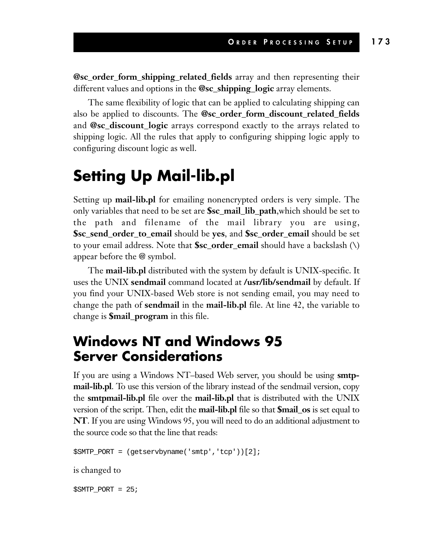**@sc\_order\_form\_shipping\_related\_fields** array and then representing their different values and options in the **@sc\_shipping\_logic** array elements.

The same flexibility of logic that can be applied to calculating shipping can also be applied to discounts. The **@sc\_order\_form\_discount\_related\_fields** and **@sc\_discount\_logic** arrays correspond exactly to the arrays related to shipping logic. All the rules that apply to configuring shipping logic apply to configuring discount logic as well.

### **Setting Up Mail-lib.pl**

Setting up **mail-lib.pl** for emailing nonencrypted orders is very simple. The only variables that need to be set are **\$sc\_mail\_lib\_path**,which should be set to the path and filename of the mail library you are using, **\$sc\_send\_order\_to\_email** should be **yes**, and **\$sc\_order\_email** should be set to your email address. Note that **\$sc\_order\_email** should have a backslash (\) appear before the @ symbol.

The **mail-lib.pl** distributed with the system by default is UNIX-specific. It uses the UNIX **sendmail** command located at **/usr/lib/sendmail** by default. If you find your UNIX-based Web store is not sending email, you may need to change the path of **sendmail** in the **mail-lib.pl** file. At line 42, the variable to change is **\$mail\_program** in this file.

#### **Windows NT and Windows 95 Server Considerations**

If you are using a Windows NT–based Web server, you should be using **smtpmail-lib.pl**. To use this version of the library instead of the sendmail version, copy the **smtpmail-lib.pl** file over the **mail-lib.pl** that is distributed with the UNIX version of the script. Then, edit the **mail-lib.pl** file so that **\$mail\_os** is set equal to **NT**. If you are using Windows 95, you will need to do an additional adjustment to the source code so that the line that reads:

\$SMTP\_PORT = (getservbyname('smtp','tcp'))[2];

is changed to

 $$SMTP$  PORT = 25;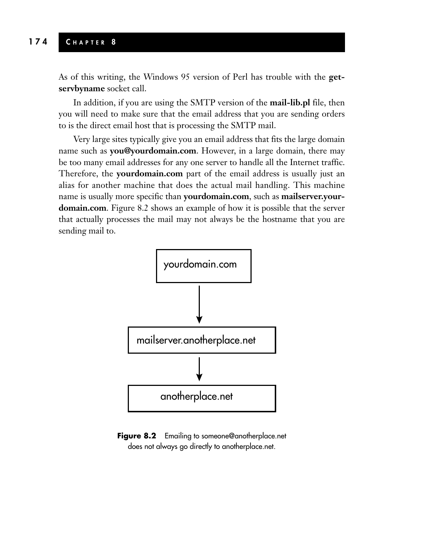As of this writing, the Windows 95 version of Perl has trouble with the **getservbyname** socket call.

In addition, if you are using the SMTP version of the **mail-lib.pl** file, then you will need to make sure that the email address that you are sending orders to is the direct email host that is processing the SMTP mail.

Very large sites typically give you an email address that fits the large domain name such as **you@yourdomain.com**. However, in a large domain, there may be too many email addresses for any one server to handle all the Internet traffic. Therefore, the **yourdomain.com** part of the email address is usually just an alias for another machine that does the actual mail handling. This machine name is usually more specific than **yourdomain.com**, such as **mailserver.yourdomain.com**. Figure 8.2 shows an example of how it is possible that the server that actually processes the mail may not always be the hostname that you are sending mail to.



**Figure 8.2** Emailing to someone@anotherplace.net does not always go directly to anotherplace.net.